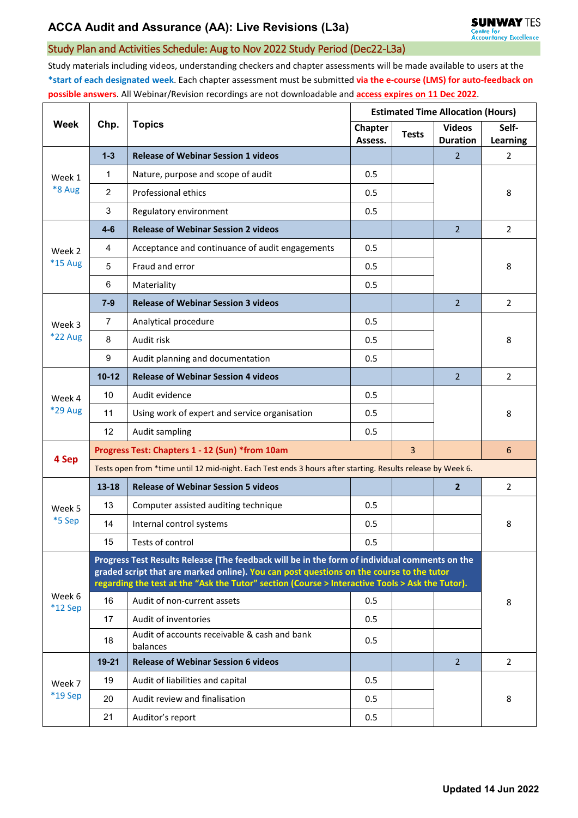## Study Plan and Activities Schedule: Aug to Nov 2022 Study Period (Dec22-L3a)

Study materials including videos, understanding checkers and chapter assessments will be made available to users at the **\*start of each designated week**. Each chapter assessment must be submitted **via the e-course (LMS) for auto-feedback on possible answers**. All Webinar/Revision recordings are not downloadable and **access expires on 11 Dec 2022**.

| <b>Week</b>         | Chp.                                                                                                                                                                                                                                                                                         | <b>Topics</b>                                            | <b>Estimated Time Allocation (Hours)</b> |              |                                  |                   |  |  |  |
|---------------------|----------------------------------------------------------------------------------------------------------------------------------------------------------------------------------------------------------------------------------------------------------------------------------------------|----------------------------------------------------------|------------------------------------------|--------------|----------------------------------|-------------------|--|--|--|
|                     |                                                                                                                                                                                                                                                                                              |                                                          | Chapter<br>Assess.                       | <b>Tests</b> | <b>Videos</b><br><b>Duration</b> | Self-<br>Learning |  |  |  |
| Week 1<br>*8 Aug    | $1 - 3$                                                                                                                                                                                                                                                                                      | <b>Release of Webinar Session 1 videos</b>               |                                          |              | $\overline{2}$                   | 2                 |  |  |  |
|                     | $\mathbf{1}$                                                                                                                                                                                                                                                                                 | Nature, purpose and scope of audit                       | 0.5                                      |              |                                  |                   |  |  |  |
|                     | 2                                                                                                                                                                                                                                                                                            | Professional ethics                                      | 0.5                                      |              |                                  | 8                 |  |  |  |
|                     | 3                                                                                                                                                                                                                                                                                            | Regulatory environment                                   | 0.5                                      |              |                                  |                   |  |  |  |
| Week 2<br>*15 Aug   | $4-6$                                                                                                                                                                                                                                                                                        | <b>Release of Webinar Session 2 videos</b>               |                                          |              | $\overline{2}$                   | $\overline{2}$    |  |  |  |
|                     | 4                                                                                                                                                                                                                                                                                            | Acceptance and continuance of audit engagements          | 0.5                                      |              |                                  | 8                 |  |  |  |
|                     | 5                                                                                                                                                                                                                                                                                            | Fraud and error                                          | 0.5                                      |              |                                  |                   |  |  |  |
|                     | 6                                                                                                                                                                                                                                                                                            | Materiality                                              | 0.5                                      |              |                                  |                   |  |  |  |
| Week 3<br>*22 Aug   | $7 - 9$                                                                                                                                                                                                                                                                                      | <b>Release of Webinar Session 3 videos</b>               |                                          |              | $\overline{2}$                   | 2                 |  |  |  |
|                     | $\overline{7}$                                                                                                                                                                                                                                                                               | Analytical procedure                                     | 0.5                                      |              |                                  | 8                 |  |  |  |
|                     | 8                                                                                                                                                                                                                                                                                            | Audit risk                                               | 0.5                                      |              |                                  |                   |  |  |  |
|                     | $\boldsymbol{9}$                                                                                                                                                                                                                                                                             | Audit planning and documentation                         | 0.5                                      |              |                                  |                   |  |  |  |
| Week 4<br>*29 Aug   | $10 - 12$                                                                                                                                                                                                                                                                                    | <b>Release of Webinar Session 4 videos</b>               |                                          |              | $\overline{2}$                   | 2                 |  |  |  |
|                     | 10                                                                                                                                                                                                                                                                                           | Audit evidence                                           | 0.5                                      |              |                                  | 8                 |  |  |  |
|                     | 11                                                                                                                                                                                                                                                                                           | Using work of expert and service organisation            | 0.5                                      |              |                                  |                   |  |  |  |
|                     | 12                                                                                                                                                                                                                                                                                           | Audit sampling                                           | 0.5                                      |              |                                  |                   |  |  |  |
| 4 Sep               | $\overline{3}$<br>Progress Test: Chapters 1 - 12 (Sun) *from 10am                                                                                                                                                                                                                            |                                                          |                                          |              |                                  | 6                 |  |  |  |
|                     | Tests open from *time until 12 mid-night. Each Test ends 3 hours after starting. Results release by Week 6.                                                                                                                                                                                  |                                                          |                                          |              |                                  |                   |  |  |  |
|                     | $13 - 18$                                                                                                                                                                                                                                                                                    | <b>Release of Webinar Session 5 videos</b>               |                                          |              | $\overline{2}$                   | $\overline{2}$    |  |  |  |
| Week 5<br>*5 Sep    | 13                                                                                                                                                                                                                                                                                           | Computer assisted auditing technique                     | 0.5                                      |              |                                  | 8                 |  |  |  |
|                     | 14                                                                                                                                                                                                                                                                                           | Internal control systems                                 | 0.5                                      |              |                                  |                   |  |  |  |
|                     | 15                                                                                                                                                                                                                                                                                           | Tests of control                                         | 0.5                                      |              |                                  |                   |  |  |  |
| Week 6<br>$*12$ Sep | Progress Test Results Release (The feedback will be in the form of individual comments on the<br>graded script that are marked online). You can post questions on the course to the tutor<br>regarding the test at the "Ask the Tutor" section (Course > Interactive Tools > Ask the Tutor). |                                                          |                                          |              |                                  |                   |  |  |  |
|                     | 16                                                                                                                                                                                                                                                                                           | Audit of non-current assets                              | 0.5                                      |              |                                  | 8                 |  |  |  |
|                     | 17                                                                                                                                                                                                                                                                                           | Audit of inventories                                     | 0.5                                      |              |                                  |                   |  |  |  |
|                     | 18                                                                                                                                                                                                                                                                                           | Audit of accounts receivable & cash and bank<br>balances | 0.5                                      |              |                                  |                   |  |  |  |
| Week 7<br>*19 Sep   | $19 - 21$                                                                                                                                                                                                                                                                                    | <b>Release of Webinar Session 6 videos</b>               |                                          |              | $\overline{2}$                   | $\overline{2}$    |  |  |  |
|                     | 19                                                                                                                                                                                                                                                                                           | Audit of liabilities and capital                         | 0.5                                      |              |                                  |                   |  |  |  |
|                     | 20                                                                                                                                                                                                                                                                                           | Audit review and finalisation                            | 0.5                                      |              |                                  | 8                 |  |  |  |
|                     | 21                                                                                                                                                                                                                                                                                           | Auditor's report                                         | 0.5                                      |              |                                  |                   |  |  |  |